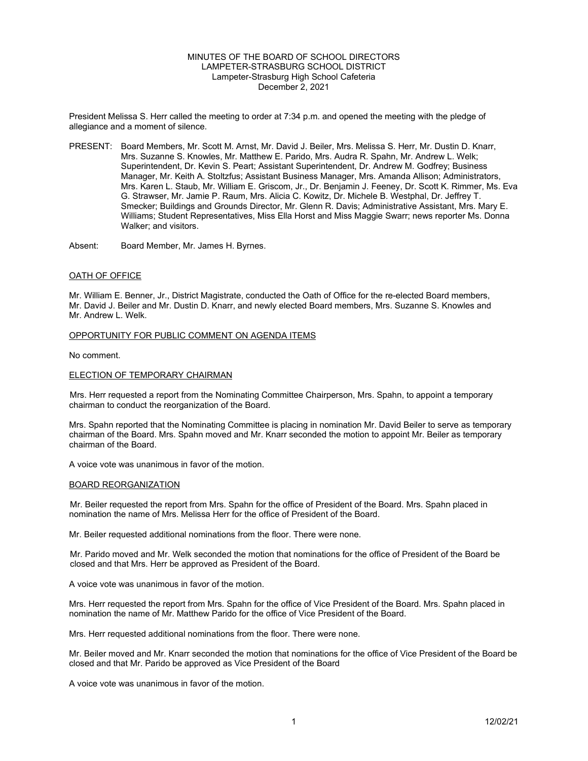## MINUTES OF THE BOARD OF SCHOOL DIRECTORS LAMPETER-STRASBURG SCHOOL DISTRICT Lampeter-Strasburg High School Cafeteria December 2, 2021

President Melissa S. Herr called the meeting to order at 7:34 p.m. and opened the meeting with the pledge of allegiance and a moment of silence.

PRESENT: Board Members, Mr. Scott M. Arnst, Mr. David J. Beiler, Mrs. Melissa S. Herr, Mr. Dustin D. Knarr, Mrs. Suzanne S. Knowles, Mr. Matthew E. Parido, Mrs. Audra R. Spahn, Mr. Andrew L. Welk; Superintendent, Dr. Kevin S. Peart; Assistant Superintendent, Dr. Andrew M. Godfrey; Business Manager, Mr. Keith A. Stoltzfus; Assistant Business Manager, Mrs. Amanda Allison; Administrators, Mrs. Karen L. Staub, Mr. William E. Griscom, Jr., Dr. Benjamin J. Feeney, Dr. Scott K. Rimmer, Ms. Eva G. Strawser, Mr. Jamie P. Raum, Mrs. Alicia C. Kowitz, Dr. Michele B. Westphal, Dr. Jeffrey T. Smecker; Buildings and Grounds Director, Mr. Glenn R. Davis; Administrative Assistant, Mrs. Mary E. Williams; Student Representatives, Miss Ella Horst and Miss Maggie Swarr; news reporter Ms. Donna Walker; and visitors.

Absent: Board Member, Mr. James H. Byrnes.

### OATH OF OFFICE

Mr. William E. Benner, Jr., District Magistrate, conducted the Oath of Office for the re-elected Board members, Mr. David J. Beiler and Mr. Dustin D. Knarr, and newly elected Board members, Mrs. Suzanne S. Knowles and Mr. Andrew L. Welk.

## OPPORTUNITY FOR PUBLIC COMMENT ON AGENDA ITEMS

No comment.

### ELECTION OF TEMPORARY CHAIRMAN

Mrs. Herr requested a report from the Nominating Committee Chairperson, Mrs. Spahn, to appoint a temporary chairman to conduct the reorganization of the Board.

Mrs. Spahn reported that the Nominating Committee is placing in nomination Mr. David Beiler to serve as temporary chairman of the Board. Mrs. Spahn moved and Mr. Knarr seconded the motion to appoint Mr. Beiler as temporary chairman of the Board.

A voice vote was unanimous in favor of the motion.

#### BOARD REORGANIZATION

Mr. Beiler requested the report from Mrs. Spahn for the office of President of the Board. Mrs. Spahn placed in nomination the name of Mrs. Melissa Herr for the office of President of the Board.

Mr. Beiler requested additional nominations from the floor. There were none.

Mr. Parido moved and Mr. Welk seconded the motion that nominations for the office of President of the Board be closed and that Mrs. Herr be approved as President of the Board.

A voice vote was unanimous in favor of the motion.

Mrs. Herr requested the report from Mrs. Spahn for the office of Vice President of the Board. Mrs. Spahn placed in nomination the name of Mr. Matthew Parido for the office of Vice President of the Board.

Mrs. Herr requested additional nominations from the floor. There were none.

Mr. Beiler moved and Mr. Knarr seconded the motion that nominations for the office of Vice President of the Board be closed and that Mr. Parido be approved as Vice President of the Board

A voice vote was unanimous in favor of the motion.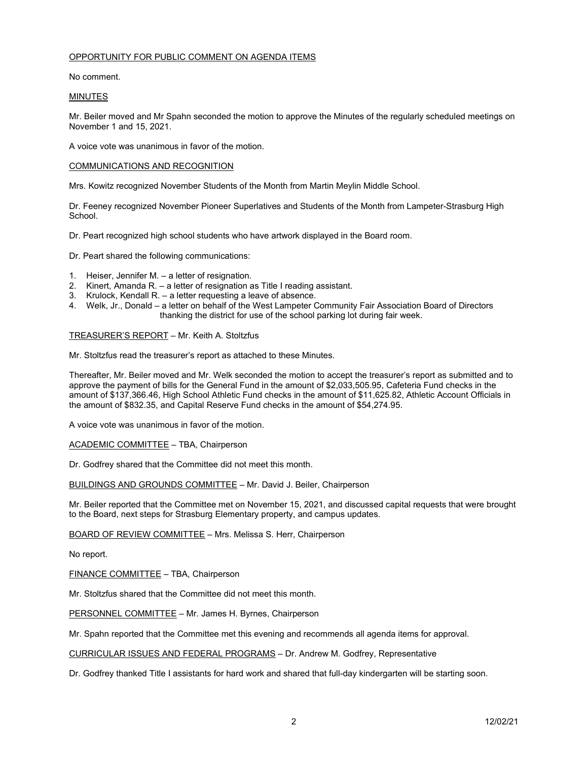## OPPORTUNITY FOR PUBLIC COMMENT ON AGENDA ITEMS

No comment.

### MINUTES

Mr. Beiler moved and Mr Spahn seconded the motion to approve the Minutes of the regularly scheduled meetings on November 1 and 15, 2021.

A voice vote was unanimous in favor of the motion.

### COMMUNICATIONS AND RECOGNITION

Mrs. Kowitz recognized November Students of the Month from Martin Meylin Middle School.

Dr. Feeney recognized November Pioneer Superlatives and Students of the Month from Lampeter-Strasburg High School.

Dr. Peart recognized high school students who have artwork displayed in the Board room.

Dr. Peart shared the following communications:

- 1. Heiser, Jennifer M. a letter of resignation.
- 2. Kinert, Amanda R. a letter of resignation as Title I reading assistant.
- 3. Krulock, Kendall R. a letter requesting a leave of absence.
- 4. Welk, Jr., Donald a letter on behalf of the West Lampeter Community Fair Association Board of Directors thanking the district for use of the school parking lot during fair week.

### TREASURER'S REPORT – Mr. Keith A. Stoltzfus

Mr. Stoltzfus read the treasurer's report as attached to these Minutes.

Thereafter, Mr. Beiler moved and Mr. Welk seconded the motion to accept the treasurer's report as submitted and to approve the payment of bills for the General Fund in the amount of \$2,033,505.95, Cafeteria Fund checks in the amount of \$137,366.46, High School Athletic Fund checks in the amount of \$11,625.82, Athletic Account Officials in the amount of \$832.35, and Capital Reserve Fund checks in the amount of \$54,274.95.

A voice vote was unanimous in favor of the motion.

ACADEMIC COMMITTEE – TBA, Chairperson

Dr. Godfrey shared that the Committee did not meet this month.

BUILDINGS AND GROUNDS COMMITTEE – Mr. David J. Beiler, Chairperson

Mr. Beiler reported that the Committee met on November 15, 2021, and discussed capital requests that were brought to the Board, next steps for Strasburg Elementary property, and campus updates.

BOARD OF REVIEW COMMITTEE – Mrs. Melissa S. Herr, Chairperson

No report.

FINANCE COMMITTEE – TBA, Chairperson

Mr. Stoltzfus shared that the Committee did not meet this month.

PERSONNEL COMMITTEE – Mr. James H. Byrnes, Chairperson

Mr. Spahn reported that the Committee met this evening and recommends all agenda items for approval.

CURRICULAR ISSUES AND FEDERAL PROGRAMS – Dr. Andrew M. Godfrey, Representative

Dr. Godfrey thanked Title I assistants for hard work and shared that full-day kindergarten will be starting soon.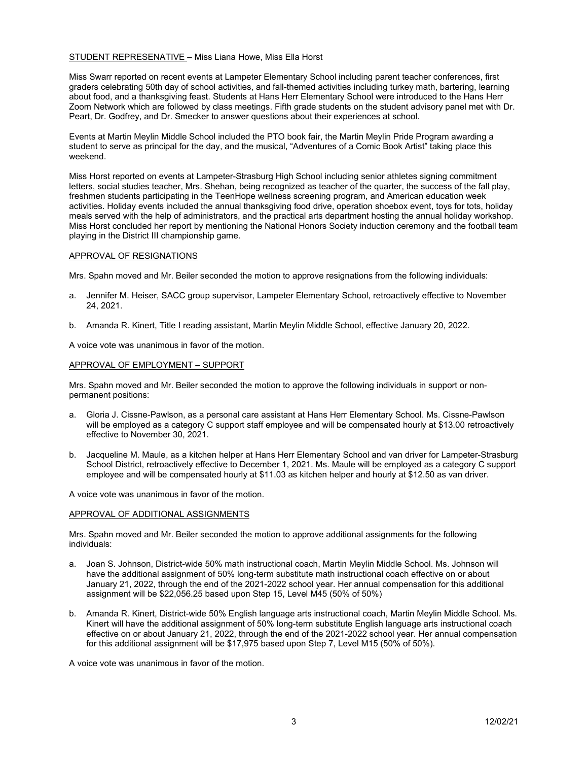## STUDENT REPRESENATIVE – Miss Liana Howe, Miss Ella Horst

Miss Swarr reported on recent events at Lampeter Elementary School including parent teacher conferences, first graders celebrating 50th day of school activities, and fall-themed activities including turkey math, bartering, learning about food, and a thanksgiving feast. Students at Hans Herr Elementary School were introduced to the Hans Herr Zoom Network which are followed by class meetings. Fifth grade students on the student advisory panel met with Dr. Peart, Dr. Godfrey, and Dr. Smecker to answer questions about their experiences at school.

Events at Martin Meylin Middle School included the PTO book fair, the Martin Meylin Pride Program awarding a student to serve as principal for the day, and the musical, "Adventures of a Comic Book Artist" taking place this weekend.

Miss Horst reported on events at Lampeter-Strasburg High School including senior athletes signing commitment letters, social studies teacher, Mrs. Shehan, being recognized as teacher of the quarter, the success of the fall play, freshmen students participating in the TeenHope wellness screening program, and American education week activities. Holiday events included the annual thanksgiving food drive, operation shoebox event, toys for tots, holiday meals served with the help of administrators, and the practical arts department hosting the annual holiday workshop. Miss Horst concluded her report by mentioning the National Honors Society induction ceremony and the football team playing in the District III championship game.

#### APPROVAL OF RESIGNATIONS

Mrs. Spahn moved and Mr. Beiler seconded the motion to approve resignations from the following individuals:

- a. Jennifer M. Heiser, SACC group supervisor, Lampeter Elementary School, retroactively effective to November 24, 2021.
- b. Amanda R. Kinert, Title I reading assistant, Martin Meylin Middle School, effective January 20, 2022.

A voice vote was unanimous in favor of the motion.

### APPROVAL OF EMPLOYMENT – SUPPORT

Mrs. Spahn moved and Mr. Beiler seconded the motion to approve the following individuals in support or nonpermanent positions:

- a. Gloria J. Cissne-Pawlson, as a personal care assistant at Hans Herr Elementary School. Ms. Cissne-Pawlson will be employed as a category C support staff employee and will be compensated hourly at \$13.00 retroactively effective to November 30, 2021.
- b. Jacqueline M. Maule, as a kitchen helper at Hans Herr Elementary School and van driver for Lampeter-Strasburg School District, retroactively effective to December 1, 2021. Ms. Maule will be employed as a category C support employee and will be compensated hourly at \$11.03 as kitchen helper and hourly at \$12.50 as van driver.

A voice vote was unanimous in favor of the motion.

#### APPROVAL OF ADDITIONAL ASSIGNMENTS

Mrs. Spahn moved and Mr. Beiler seconded the motion to approve additional assignments for the following individuals:

- a. Joan S. Johnson, District-wide 50% math instructional coach, Martin Meylin Middle School. Ms. Johnson will have the additional assignment of 50% long-term substitute math instructional coach effective on or about January 21, 2022, through the end of the 2021-2022 school year. Her annual compensation for this additional assignment will be \$22,056.25 based upon Step 15, Level M45 (50% of 50%)
- b. Amanda R. Kinert, District-wide 50% English language arts instructional coach, Martin Meylin Middle School. Ms. Kinert will have the additional assignment of 50% long-term substitute English language arts instructional coach effective on or about January 21, 2022, through the end of the 2021-2022 school year. Her annual compensation for this additional assignment will be \$17,975 based upon Step 7, Level M15 (50% of 50%).

A voice vote was unanimous in favor of the motion.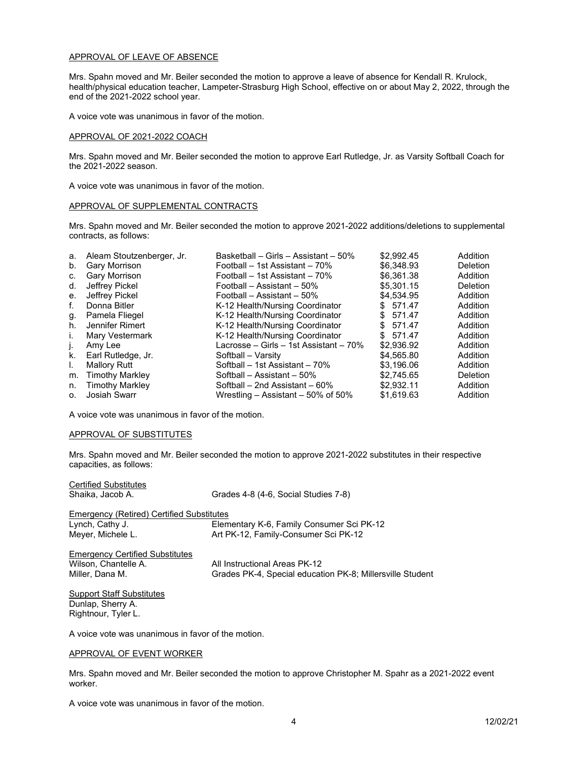#### APPROVAL OF LEAVE OF ABSENCE

Mrs. Spahn moved and Mr. Beiler seconded the motion to approve a leave of absence for Kendall R. Krulock, health/physical education teacher, Lampeter-Strasburg High School, effective on or about May 2, 2022, through the end of the 2021-2022 school year.

A voice vote was unanimous in favor of the motion.

### APPROVAL OF 2021-2022 COACH

Mrs. Spahn moved and Mr. Beiler seconded the motion to approve Earl Rutledge, Jr. as Varsity Softball Coach for the 2021-2022 season.

A voice vote was unanimous in favor of the motion.

### APPROVAL OF SUPPLEMENTAL CONTRACTS

Mrs. Spahn moved and Mr. Beiler seconded the motion to approve 2021-2022 additions/deletions to supplemental contracts, as follows:

| а.             | Aleam Stoutzenberger, Jr. | Basketball – Girls – Assistant – 50%   | \$2.992.45 | Addition |
|----------------|---------------------------|----------------------------------------|------------|----------|
| b.             | Gary Morrison             | Football – 1st Assistant – 70%         | \$6.348.93 | Deletion |
| C.             | Gary Morrison             | Football – 1st Assistant – 70%         | \$6.361.38 | Addition |
| d.             | Jeffrey Pickel            | Football – Assistant – 50%             | \$5,301.15 | Deletion |
| е.             | Jeffrey Pickel            | Football - Assistant - 50%             | \$4.534.95 | Addition |
| f.             | Donna Bitler              | K-12 Health/Nursing Coordinator        | \$ 571.47  | Addition |
| g.             | Pamela Fliegel            | K-12 Health/Nursing Coordinator        | \$571.47   | Addition |
| h.             | Jennifer Rimert           | K-12 Health/Nursing Coordinator        | \$ 571.47  | Addition |
| İ.             | Mary Vestermark           | K-12 Health/Nursing Coordinator        | \$571.47   | Addition |
|                | Amy Lee                   | Lacrosse – Girls – 1st Assistant – 70% | \$2,936.92 | Addition |
| k.             | Earl Rutledge, Jr.        | Softball – Varsity                     | \$4,565.80 | Addition |
| L.             | <b>Mallory Rutt</b>       | Softball – 1st Assistant – 70%         | \$3.196.06 | Addition |
| m.             | <b>Timothy Markley</b>    | Softball - Assistant - 50%             | \$2.745.65 | Deletion |
| n.             | <b>Timothy Markley</b>    | Softball – 2nd Assistant – 60%         | \$2,932.11 | Addition |
| $\mathsf{O}$ . | <b>Josiah Swarr</b>       | Wrestling $-$ Assistant $-50\%$ of 50% | \$1.619.63 | Addition |

A voice vote was unanimous in favor of the motion.

## APPROVAL OF SUBSTITUTES

Mrs. Spahn moved and Mr. Beiler seconded the motion to approve 2021-2022 substitutes in their respective capacities, as follows:

| Certified Substitutes<br>Shaika, Jacob A.                                         | Grades 4-8 (4-6, Social Studies 7-8)                                                       |
|-----------------------------------------------------------------------------------|--------------------------------------------------------------------------------------------|
| Emergency (Retired) Certified Substitutes<br>Lynch, Cathy J.<br>Meyer, Michele L. | Elementary K-6, Family Consumer Sci PK-12<br>Art PK-12, Family-Consumer Sci PK-12          |
| Emergency Certified Substitutes<br>Wilson, Chantelle A.<br>Miller, Dana M.        | All Instructional Areas PK-12<br>Grades PK-4, Special education PK-8; Millersville Student |
| Support Staff Substitutes<br>Dunlap, Sherry A.<br>Rightnour, Tyler L.             |                                                                                            |

A voice vote was unanimous in favor of the motion.

#### APPROVAL OF EVENT WORKER

Mrs. Spahn moved and Mr. Beiler seconded the motion to approve Christopher M. Spahr as a 2021-2022 event worker.

A voice vote was unanimous in favor of the motion.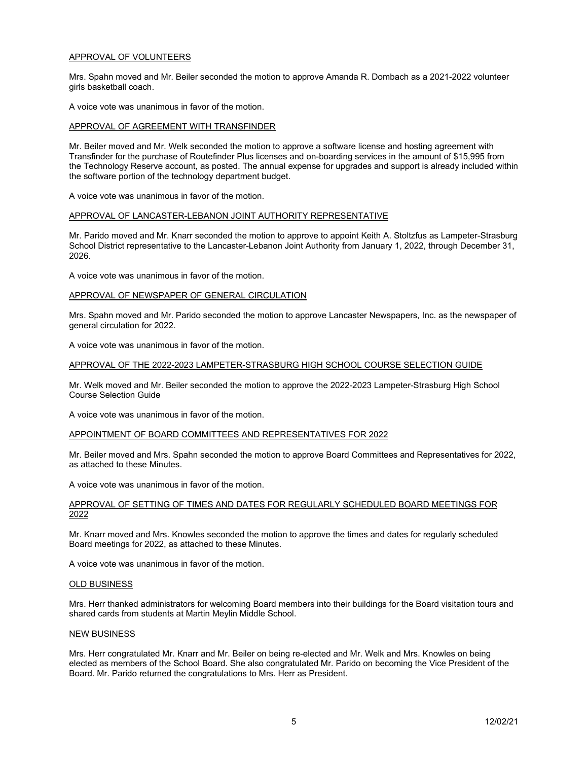### APPROVAL OF VOLUNTEERS

Mrs. Spahn moved and Mr. Beiler seconded the motion to approve Amanda R. Dombach as a 2021-2022 volunteer girls basketball coach.

A voice vote was unanimous in favor of the motion.

## APPROVAL OF AGREEMENT WITH TRANSFINDER

Mr. Beiler moved and Mr. Welk seconded the motion to approve a software license and hosting agreement with Transfinder for the purchase of Routefinder Plus licenses and on-boarding services in the amount of \$15,995 from the Technology Reserve account, as posted. The annual expense for upgrades and support is already included within the software portion of the technology department budget.

A voice vote was unanimous in favor of the motion.

### APPROVAL OF LANCASTER-LEBANON JOINT AUTHORITY REPRESENTATIVE

Mr. Parido moved and Mr. Knarr seconded the motion to approve to appoint Keith A. Stoltzfus as Lampeter-Strasburg School District representative to the Lancaster-Lebanon Joint Authority from January 1, 2022, through December 31, 2026.

A voice vote was unanimous in favor of the motion.

### APPROVAL OF NEWSPAPER OF GENERAL CIRCULATION

Mrs. Spahn moved and Mr. Parido seconded the motion to approve Lancaster Newspapers, Inc. as the newspaper of general circulation for 2022.

A voice vote was unanimous in favor of the motion.

#### APPROVAL OF THE 2022-2023 LAMPETER-STRASBURG HIGH SCHOOL COURSE SELECTION GUIDE

Mr. Welk moved and Mr. Beiler seconded the motion to approve the 2022-2023 Lampeter-Strasburg High School Course Selection Guide

A voice vote was unanimous in favor of the motion.

### APPOINTMENT OF BOARD COMMITTEES AND REPRESENTATIVES FOR 2022

Mr. Beiler moved and Mrs. Spahn seconded the motion to approve Board Committees and Representatives for 2022, as attached to these Minutes.

A voice vote was unanimous in favor of the motion.

### APPROVAL OF SETTING OF TIMES AND DATES FOR REGULARLY SCHEDULED BOARD MEETINGS FOR 2022

Mr. Knarr moved and Mrs. Knowles seconded the motion to approve the times and dates for regularly scheduled Board meetings for 2022, as attached to these Minutes.

A voice vote was unanimous in favor of the motion.

### OLD BUSINESS

Mrs. Herr thanked administrators for welcoming Board members into their buildings for the Board visitation tours and shared cards from students at Martin Meylin Middle School.

## NEW BUSINESS

Mrs. Herr congratulated Mr. Knarr and Mr. Beiler on being re-elected and Mr. Welk and Mrs. Knowles on being elected as members of the School Board. She also congratulated Mr. Parido on becoming the Vice President of the Board. Mr. Parido returned the congratulations to Mrs. Herr as President.